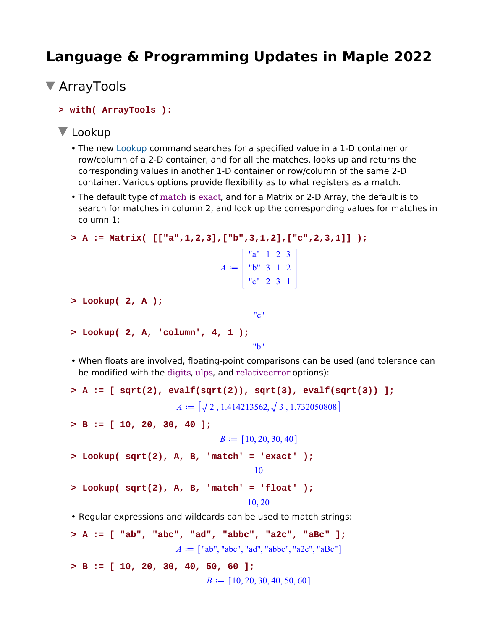# **Language & Programming Updates in Maple 2022**

```
ArrayTools
```
**> with( ArrayTools ):**

### **V** Lookup

- The new Lookup command searches for a specified value in a 1-D container or row/column of a 2-D container, and for all the matches, looks up and returns the corresponding values in another 1-D container or row/column of the same 2-D container. Various options provide flexibility as to what registers as a match.
- The default type of match is exact, and for a Matrix or 2-D Array, the default is to search for matches in column 2, and look up the corresponding values for matches in column 1:

```
> A := Matrix( [["a",1,2,3],["b",3,1,2],["c",2,3,1]] );
```

|                          | a''     |                | 1 <sub>2</sub> | $\overline{3}$ |  |
|--------------------------|---------|----------------|----------------|----------------|--|
| $\overline{\mathcal{A}}$ | "b"     | $\overline{3}$ | $\blacksquare$ | $\overline{2}$ |  |
|                          | $c''$ 2 |                | $\overline{3}$ |                |  |

"c"

```
> Lookup( 2, A );
```

```
> Lookup( 2, A, 'column', 4, 1 );
```

```
"b"
```
• When floats are involved, floating-point comparisons can be used (and tolerance can be modified with the digits, ulps, and relativeerror options):

```
> A := [ sqrt(2), evalf(sqrt(2)), sqrt(3), evalf(sqrt(3)) ];
                       A = [\sqrt{2}, 1.414213562, \sqrt{3}, 1.732050808]
```

```
> B := [ 10, 20, 30, 40 ];
```

```
B := [10, 20, 30, 40]
```

```
> Lookup( sqrt(2), A, B, 'match' = 'exact' );
```

```
10
```

```
> Lookup( sqrt(2), A, B, 'match' = 'float' );
```
#### 10, 20

• Regular expressions and wildcards can be used to match strings:

```
> A := [ "ab", "abc", "ad", "abbc", "a2c", "aBc" ];
                        A := \langle "ab", "abc", "ad", "abbc", "a2c", "aBc"\rangle> B := [ 10, 20, 30, 40, 50, 60 ];
                                B := [10, 20, 30, 40, 50, 60]
```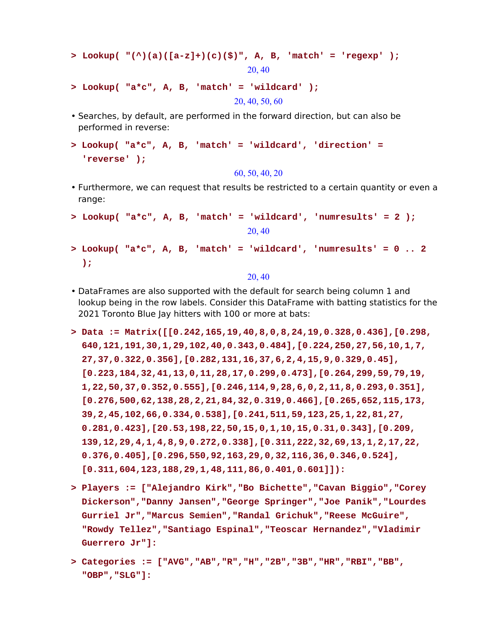```
> Lookup( "(^)(a)([a-z]+)(c)($)", A, B, 'match' = 'regexp' );
                                 20, 40
```
- **> Lookup( "a\*c", A, B, 'match' = 'wildcard' );** 20, 40, 50, 60
- Searches, by default, are performed in the forward direction, but can also be performed in reverse:
- **Lookup( "a\*c", A, B, 'match' = 'wildcard', 'direction' = > 'reverse' );**

60, 50, 40, 20

- Furthermore, we can request that results be restricted to a certain quantity or even a range:
- **> Lookup( "a\*c", A, B, 'match' = 'wildcard', 'numresults' = 2 );** 20, 40 **Lookup( "a\*c", A, B, 'match' = 'wildcard', 'numresults' = 0 .. 2 > );**

20, 40

- DataFrames are also supported with the default for search being column 1 and lookup being in the row labels. Consider this DataFrame with batting statistics for the 2021 Toronto Blue Jay hitters with 100 or more at bats:
- **Data := Matrix([[0.242,165,19,40,8,0,8,24,19,0.328,0.436],[0.298, > 640,121,191,30,1,29,102,40,0.343,0.484],[0.224,250,27,56,10,1,7, 27,37,0.322,0.356],[0.282,131,16,37,6,2,4,15,9,0.329,0.45], [0.223,184,32,41,13,0,11,28,17,0.299,0.473],[0.264,299,59,79,19, 1,22,50,37,0.352,0.555],[0.246,114,9,28,6,0,2,11,8,0.293,0.351], [0.276,500,62,138,28,2,21,84,32,0.319,0.466],[0.265,652,115,173, 39,2,45,102,66,0.334,0.538],[0.241,511,59,123,25,1,22,81,27, 0.281,0.423],[20.53,198,22,50,15,0,1,10,15,0.31,0.343],[0.209, 139,12,29,4,1,4,8,9,0.272,0.338],[0.311,222,32,69,13,1,2,17,22, 0.376,0.405],[0.296,550,92,163,29,0,32,116,36,0.346,0.524], [0.311,604,123,188,29,1,48,111,86,0.401,0.601]]):**
- **Players := ["Alejandro Kirk","Bo Bichette","Cavan Biggio","Corey > Dickerson","Danny Jansen","George Springer","Joe Panik","Lourdes Gurriel Jr","Marcus Semien","Randal Grichuk","Reese McGuire", "Rowdy Tellez","Santiago Espinal","Teoscar Hernandez","Vladimir Guerrero Jr"]:**
- **Categories := ["AVG","AB","R","H","2B","3B","HR","RBI","BB", > "OBP","SLG"]:**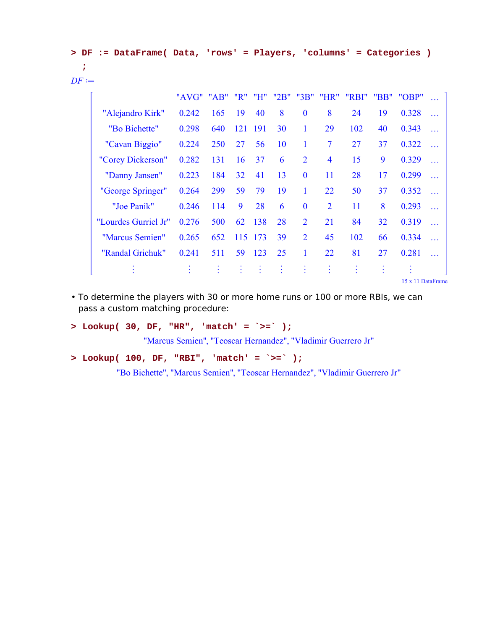|                |  |  |  |  | > DF := DataFrame( Data, 'rows' = Players, 'columns' = Categories ) |  |
|----------------|--|--|--|--|---------------------------------------------------------------------|--|
|                |  |  |  |  |                                                                     |  |
| $DF \coloneqq$ |  |  |  |  |                                                                     |  |

|                      | "AVG" | AB"       |     | "H" | "2B" | "3B"           | "HR"                    | "RBI" | "BB"      | "OBP"             | $\cdots$  |  |
|----------------------|-------|-----------|-----|-----|------|----------------|-------------------------|-------|-----------|-------------------|-----------|--|
| "Alejandro Kirk"     | 0.242 | 165       | 19  | 40  | 8    | $\bf{0}$       | 8                       | 24    | 19        | 0.328             | $\ddotsc$ |  |
| "Bo Bichette"        | 0.298 | 640       | 121 | 191 | 30   | 1              | 29                      | 102   | 40        | 0.343             | $\ddotsc$ |  |
| "Cavan Biggio"       | 0.224 | 250       | 27  | 56  | 10   | 1              | $\overline{7}$          | 27    | 37        | 0.322             | $\cdots$  |  |
| "Corey Dickerson"    | 0.282 | 131       | 16  | 37  | 6    | $\overline{2}$ | $\overline{\mathbf{4}}$ | 15    | 9         | 0.329             | $\ddotsc$ |  |
| "Danny Jansen"       | 0.223 | 184       | 32  | 41  | 13   | $\mathbf{0}$   | 11                      | 28    | 17        | 0.299             | $\ddotsc$ |  |
| "George Springer"    | 0.264 | 299       | 59  | 79  | 19   |                | 22                      | 50    | 37        | 0.352             | $\cdots$  |  |
| "Joe Panik"          | 0.246 | 114       | 9   | 28  | 6    | $\mathbf{0}$   | $\overline{2}$          | 11    | 8         | 0.293             | $\cdots$  |  |
| "Lourdes Gurriel Jr" | 0.276 | 500       | 62  | 138 | 28   | $\overline{2}$ | 21                      | 84    | 32        | 0.319             | $\ddotsc$ |  |
| "Marcus Semien"      | 0.265 | 652       | 115 | 173 | 39   | $\overline{2}$ | 45                      | 102   | 66        | 0.334             | $\ddotsc$ |  |
| "Randal Grichuk"     | 0.241 | 511       | 59  | 123 | 25   | 1              | 22                      | 81    | 27        | 0.281             | $\ddotsc$ |  |
| $\bullet$            |       | $\bullet$ |     | ÷.  | ÷    | ÷              | t                       | ÷     | $\bullet$ |                   |           |  |
|                      |       |           |     |     |      |                |                         |       |           | 15 x 11 DataFrame |           |  |

To determine the players with 30 or more home runs or 100 or more RBIs, we can • pass a custom matching procedure:

**> Lookup( 30, DF, "HR", 'match' = `>=` );**

"Marcus Semien", "Teoscar Hernandez", "Vladimir Guerrero Jr"

**> Lookup( 100, DF, "RBI", 'match' = `>=` );**

"Bo Bichette", "Marcus Semien", "Teoscar Hernandez", "Vladimir Guerrero Jr"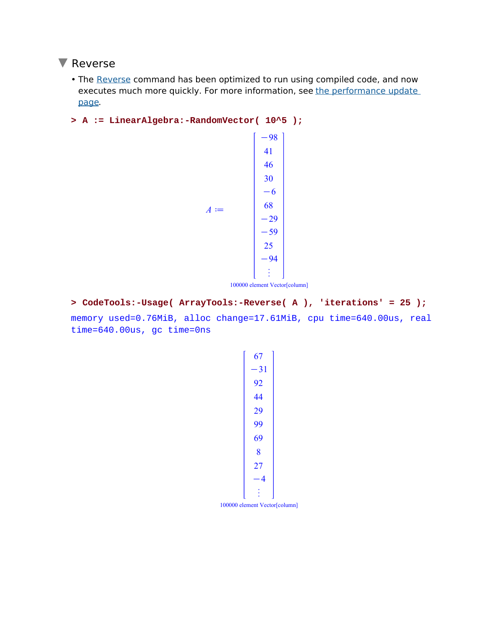### **V** Reverse

- The Reverse command has been optimized to run using compiled code, and now executes much more quickly. For more information, see the performance update page.
- **> A := LinearAlgebra:-RandomVector( 10^5 );**



100000 element Vector[column]

**> CodeTools:-Usage( ArrayTools:-Reverse( A ), 'iterations' = 25 );** memory used=0.76MiB, alloc change=17.61MiB, cpu time=640.00us, real time=640.00us, gc time=0ns



100000 element Vector[column]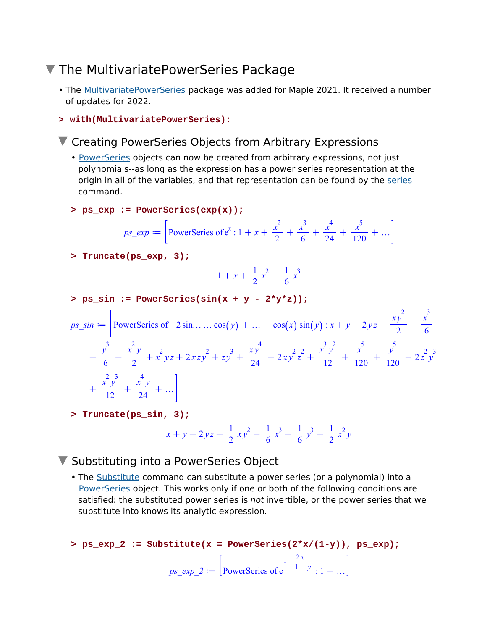## ▼ The MultivariatePowerSeries Package

- The <u>MultivariatePowerSeries</u> package was added for Maple 2021. It received a number of updates for 2022.
- **> with(MultivariatePowerSeries):**

### ▼ Creating PowerSeries Objects from Arbitrary Expressions

- PowerSeries objects can now be created from arbitrary expressions, not just polynomials--as long as the expression has a power series representation at the origin in all of the variables, and that representation can be found by the series command.
- **> ps\_exp := PowerSeries(exp(x));**

$$
ps\_exp := \left[\text{PowerSeries of } e^x : 1 + x + \frac{x^2}{2} + \frac{x^3}{6} + \frac{x^4}{24} + \frac{x^5}{120} + \dots\right]
$$

**> Truncate(ps\_exp, 3);**

$$
1 + x + \frac{1}{2}x^2 + \frac{1}{6}x^3
$$

> ps\_sin := PowerSeries(sin(x + y - 2\*y\*z));  
\n
$$
ps_sin := \left[ PowerSeries of -2sin.... cos(y) + ... - cos(x) sin(y) : x + y - 2yz - \frac{xy^2}{2} - \frac{x^3}{6} \right]
$$
\n
$$
- \frac{y^3}{6} - \frac{x^2y}{2} + x^2yz + 2xzy^2 + zy^3 + \frac{xy^4}{24} - 2xy^2z^2 + \frac{x^3y^2}{12} + \frac{x^5}{120} + \frac{y^5}{120} - 2z^2y^3 + \frac{x^2y^2}{12} + \frac{x^2y}{24} + ... \right]
$$

**> Truncate(ps\_sin, 3);**

$$
x + y - 2yz - \frac{1}{2}xy^{2} - \frac{1}{6}x^{3} - \frac{1}{6}y^{3} - \frac{1}{2}x^{2}y
$$

### ▼ Substituting into a PowerSeries Object

• The Substitute command can substitute a power series (or a polynomial) into a PowerSeries object. This works only if one or both of the following conditions are satisfied: the substituted power series is *not* invertible, or the power series that we substitute into knows its analytic expression.

```
> ps_exp_2 := Substitute(x = PowerSeries(2*x/(1-y)), ps_exp);
                         ps\_exp_2 := \vert PowerSeries of e
                                                     -\frac{2x}{1}x^{-1} + y : 1 + ...
```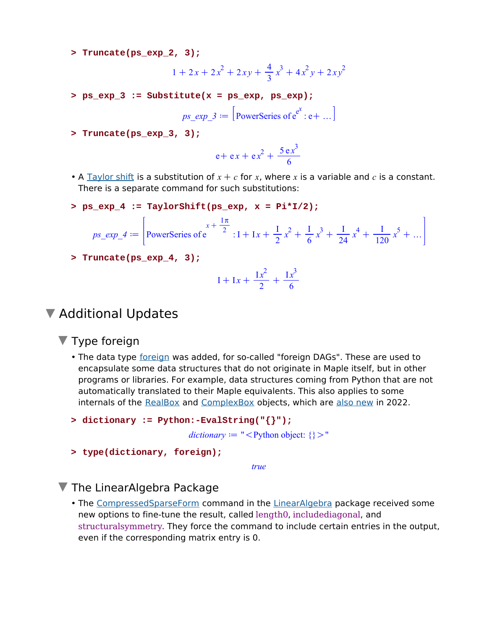**> Truncate(ps\_exp\_2, 3);**

$$
1 + 2x + 2x^2 + 2xy + \frac{4}{3}x^3 + 4x^2y + 2xy^2
$$

**> ps\_exp\_3 := Substitute(x = ps\_exp, ps\_exp);**

$$
ps\_exp_3 := [\text{PowerSeries of } e^{e^x}: e + \dots]
$$

**> Truncate(ps\_exp\_3, 3);**

$$
e + ex + ex^2 + \frac{5 ex^3}{6}
$$

- A  $\overline{\text{Taylor shift}}$  is a substitution of  $x + c$  for x, where x is a variable and c is a constant. There is a separate command for such substitutions:
- **> ps\_exp\_4 := TaylorShift(ps\_exp, x = Pi\*I/2);**

$$
ps\_exp_4 := \left[ \text{PowerSeries of } e^{x + \frac{\text{I}\pi}{2}} : 1 + 1x + \frac{1}{2}x^2 + \frac{1}{6}x^3 + \frac{1}{24}x^4 + \frac{1}{120}x^5 + \dots \right]
$$

**> Truncate(ps\_exp\_4, 3);**

$$
I + Ix + \frac{Ix^{2}}{2} + \frac{Ix^{3}}{6}
$$

### ▼ Additional Updates

▼ Type foreign

• The data type foreign was added, for so-called "foreign DAGs". These are used to encapsulate some data structures that do not originate in Maple itself, but in other programs or libraries. For example, data structures coming from Python that are not automatically translated to their Maple equivalents. This also applies to some internals of the RealBox and ComplexBox objects, which are also new in 2022.

```
> dictionary := Python:-EvalString("{}");
```
 $dictionary := "$ 

```
> type(dictionary, foreign);
```
*true*

#### The LinearAlgebra Package

• The CompressedSparseForm command in the LinearAlgebra package received some new options to fine-tune the result, called length0, includediagonal, and structuralsymmetry. They force the command to include certain entries in the output, even if the corresponding matrix entry is 0.